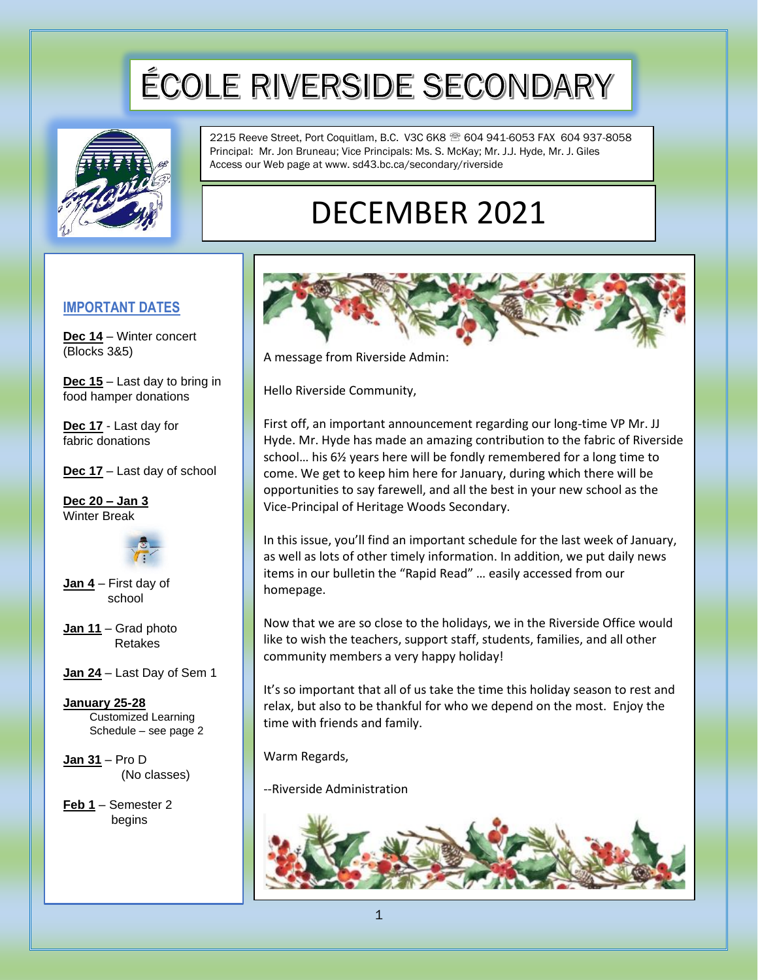# ÉCOLE RIVERSIDE SECONDARY



2215 Reeve Street, Port Coquitlam, B.C. V3C 6K8 604 941-6053 FAX 604 937-8058 Principal: Mr. Jon Bruneau; Vice Principals: Ms. S. McKay; Mr. J.J. Hyde, Mr. J. Giles Access our Web page at www. sd43.bc.ca/secondary/riverside

## DECEMBER 2021

#### **IMPORTANT DATES**

**Dec 14** – Winter concert (Blocks 3&5)

**Dec 15** – Last day to bring in food hamper donations

**Dec 17** - Last day for fabric donations

**Dec 17** – Last day of school

**Dec 20 – Jan 3** Winter Break



**Jan 4** – First day of school

- **Jan 11** Grad photo Retakes
- **Jan 24** Last Day of Sem 1

**January 25-28** Customized Learning Schedule – see page 2

**Jan 31** – Pro D (No classes)

**Feb 1** – Semester 2 begins



A message from Riverside Admin:

Hello Riverside Community,

First off, an important announcement regarding our long-time VP Mr. JJ Hyde. Mr. Hyde has made an amazing contribution to the fabric of Riverside school… his 6½ years here will be fondly remembered for a long time to come. We get to keep him here for January, during which there will be opportunities to say farewell, and all the best in your new school as the Vice-Principal of Heritage Woods Secondary.

In this issue, you'll find an important schedule for the last week of January, as well as lots of other timely information. In addition, we put daily news items in our bulletin the "Rapid Read" … easily accessed from our homepage.

Now that we are so close to the holidays, we in the Riverside Office would like to wish the teachers, support staff, students, families, and all other community members a very happy holiday!

It's so important that all of us take the time this holiday season to rest and relax, but also to be thankful for who we depend on the most. Enjoy the time with friends and family.

Warm Regards,

--Riverside Administration

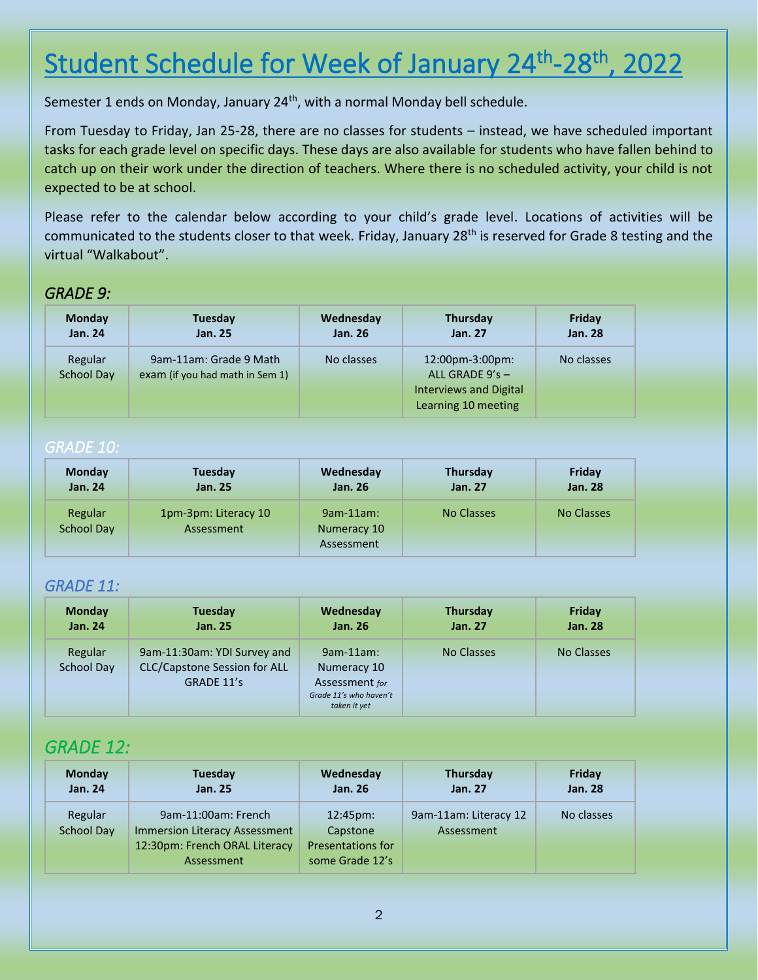## Student Schedule for Week of January 24<sup>th</sup>-28<sup>th</sup>, 2022

Semester 1 ends on Monday, January 24<sup>th</sup>, with a normal Monday bell schedule.

From Tuesday to Friday, Jan 25-28, there are no classes for students – instead, we have scheduled important tasks for each grade level on specific days. These days are also available for students who have fallen behind to catch up on their work under the direction of teachers. Where there is no scheduled activity, your child is not expected to be at school.

Please refer to the calendar below according to your child's grade level. Locations of activities will be communicated to the students closer to that week. Friday, January 28<sup>th</sup> is reserved for Grade 8 testing and the virtual "Walkabout".

#### *GRADE 9:*

| <b>Monday</b><br><b>Jan. 24</b> | Tuesday<br><b>Jan. 25</b>       | Wednesday<br><b>Jan. 26</b> | Thursday<br>Jan. 27           | Friday<br><b>Jan. 28</b> |
|---------------------------------|---------------------------------|-----------------------------|-------------------------------|--------------------------|
| Regular                         | 9am-11am: Grade 9 Math          | No classes                  | 12:00pm-3:00pm:               | No classes               |
| School Day                      | exam (if you had math in Sem 1) |                             | ALL GRADE $9's -$             |                          |
|                                 |                                 |                             | <b>Interviews and Digital</b> |                          |
|                                 |                                 |                             | Learning 10 meeting           |                          |

#### *GRADE 10:*

| <b>Monday</b>                | Tuesday                            | Wednesday                                 | <b>Thursday</b> | Friday         |
|------------------------------|------------------------------------|-------------------------------------------|-----------------|----------------|
| <b>Jan. 24</b>               | <b>Jan. 25</b>                     | <b>Jan. 26</b>                            | <b>Jan. 27</b>  | <b>Jan. 28</b> |
| Regular<br><b>School Day</b> | 1pm-3pm: Literacy 10<br>Assessment | $9am-11am$ :<br>Numeracy 10<br>Assessment | No Classes      | No Classes     |

#### *GRADE 11:*

| <b>Monday</b><br>Jan. 24 | Tuesday<br><b>Jan. 25</b>           | Wednesday<br><b>Jan. 26</b> | <b>Thursday</b><br><b>Jan. 27</b> | Friday<br><b>Jan. 28</b> |
|--------------------------|-------------------------------------|-----------------------------|-----------------------------------|--------------------------|
| Regular                  | 9am-11:30am: YDI Survey and         | $9am-11am$ :                | No Classes                        | No Classes               |
| School Day               | <b>CLC/Capstone Session for ALL</b> | Numeracy 10                 |                                   |                          |
|                          | GRADE 11's                          | Assessment for              |                                   |                          |
|                          |                                     | Grade 11's who haven't      |                                   |                          |
|                          |                                     | taken it yet                |                                   |                          |

### *GRADE 12:*

| <b>Monday</b>                | Tuesday                                                                                             | Wednesday                                                                    | <b>Thursday</b>                     | Friday         |
|------------------------------|-----------------------------------------------------------------------------------------------------|------------------------------------------------------------------------------|-------------------------------------|----------------|
| <b>Jan. 24</b>               | Jan. 25                                                                                             | <b>Jan. 26</b>                                                               | <b>Jan. 27</b>                      | <b>Jan. 28</b> |
| Regular<br><b>School Day</b> | 9am-11:00am: French<br>Immersion Literacy Assessment<br>12:30pm: French ORAL Literacy<br>Assessment | $12:45 \text{pm}$<br>Capstone<br><b>Presentations for</b><br>some Grade 12's | 9am-11am: Literacy 12<br>Assessment | No classes     |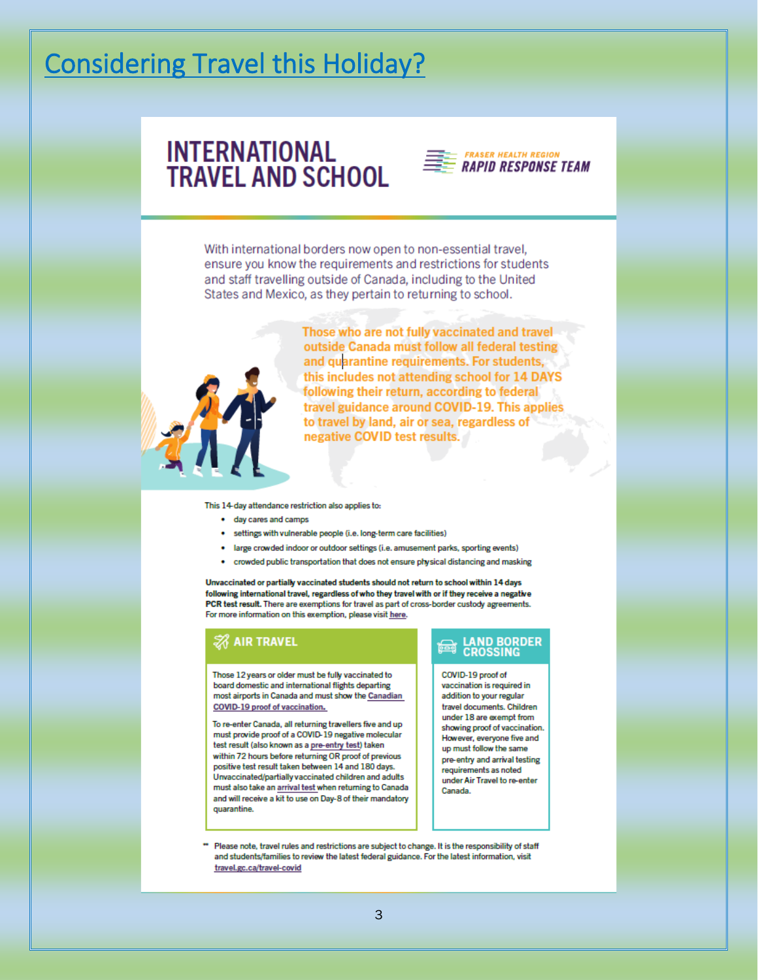## Considering Travel this Holiday?

## **INTERNATIONAL TRAVEL AND SCHOOL**



With international borders now open to non-essential travel, ensure you know the requirements and restrictions for students and staff travelling outside of Canada, including to the United States and Mexico, as they pertain to returning to school.



Those who are not fully vaccinated and travel outside Canada must follow all federal testing and quarantine requirements. For students, this includes not attending school for 14 DAYS following their return, according to federal travel guidance around COVID-19. This applies to travel by land, air or sea, regardless of negative COVID test results.

This 14-day attendance restriction also applies to:

- day cares and camps
- · settings with vulnerable people (i.e. long-term care facilities)
- large crowded indoor or outdoor settings (i.e. amusement parks, sporting events)
- crowded public transportation that does not ensure physical distancing and masking

Unvaccinated or partially vaccinated students should not return to school within 14 days following international travel, regardless of who they travel with or if they receive a negative PCR test result. There are exemptions for travel as part of cross-border custody agreements. For more information on this exemption, please visit here.

#### **ZA AIR TRAVEL**

Those 12 years or older must be fully vaccinated to board domestic and international flights departing most airports in Canada and must show the Canadian COVID-19 proof of vaccination.

To re-enter Canada, all returning travellers five and up must provide proof of a COVID-19 negative molecular test result (also known as a pre-entry test) taken within 72 hours before returning OR proof of previous positive test result taken between 14 and 180 days. Unvaccinated/partially vaccinated children and adults must also take an arrival test when returning to Canada and will receive a kit to use on Day-8 of their mandatory quarantine

## **LAND BORDER**<br>CROSSING

COVID-19 proof of vaccination is required in addition to your regular travel documents. Children under 18 are exempt from showing proof of vaccination. However, everyone five and up must follow the same pre-entry and arrival testing requirements as noted under Air Travel to re-enter Canada.

Please note, travel rules and restrictions are subject to change. It is the responsibility of staff and students/families to review the latest federal guidance. For the latest information, visit travel.gc.ca/travel-covid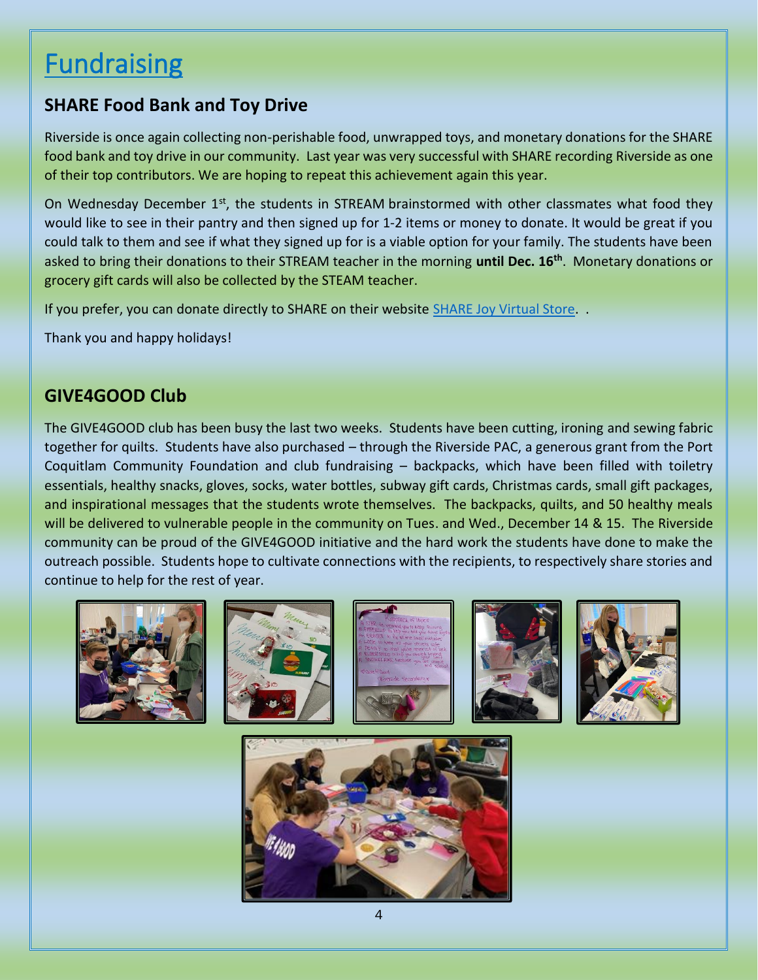## **Fundraising**

### **SHARE Food Bank and Toy Drive**

Riverside is once again collecting non-perishable food, unwrapped toys, and monetary donations for the SHARE food bank and toy drive in our community. Last year was very successful with SHARE recording Riverside as one of their top contributors. We are hoping to repeat this achievement again this year.

On Wednesday December 1<sup>st</sup>, the students in STREAM brainstormed with other classmates what food they would like to see in their pantry and then signed up for 1-2 items or money to donate. It would be great if you could talk to them and see if what they signed up for is a viable option for your family. The students have been asked to bring their donations to their STREAM teacher in the morning **until Dec. 16th** . Monetary donations or grocery gift cards will also be collected by the STEAM teacher.

If you prefer, you can donate directly to SHARE on their website [SHARE Joy Virtual Store.](https://sharesociety.ca/share-joy)

Thank you and happy holidays!

### **GIVE4GOOD Club**

The GIVE4GOOD club has been busy the last two weeks. Students have been cutting, ironing and sewing fabric together for quilts. Students have also purchased – through the Riverside PAC, a generous grant from the Port Coquitlam Community Foundation and club fundraising – backpacks, which have been filled with toiletry essentials, healthy snacks, gloves, socks, water bottles, subway gift cards, Christmas cards, small gift packages, and inspirational messages that the students wrote themselves. The backpacks, quilts, and 50 healthy meals will be delivered to vulnerable people in the community on Tues. and Wed., December 14 & 15. The Riverside community can be proud of the GIVE4GOOD initiative and the hard work the students have done to make the outreach possible. Students hope to cultivate connections with the recipients, to respectively share stories and continue to help for the rest of year.











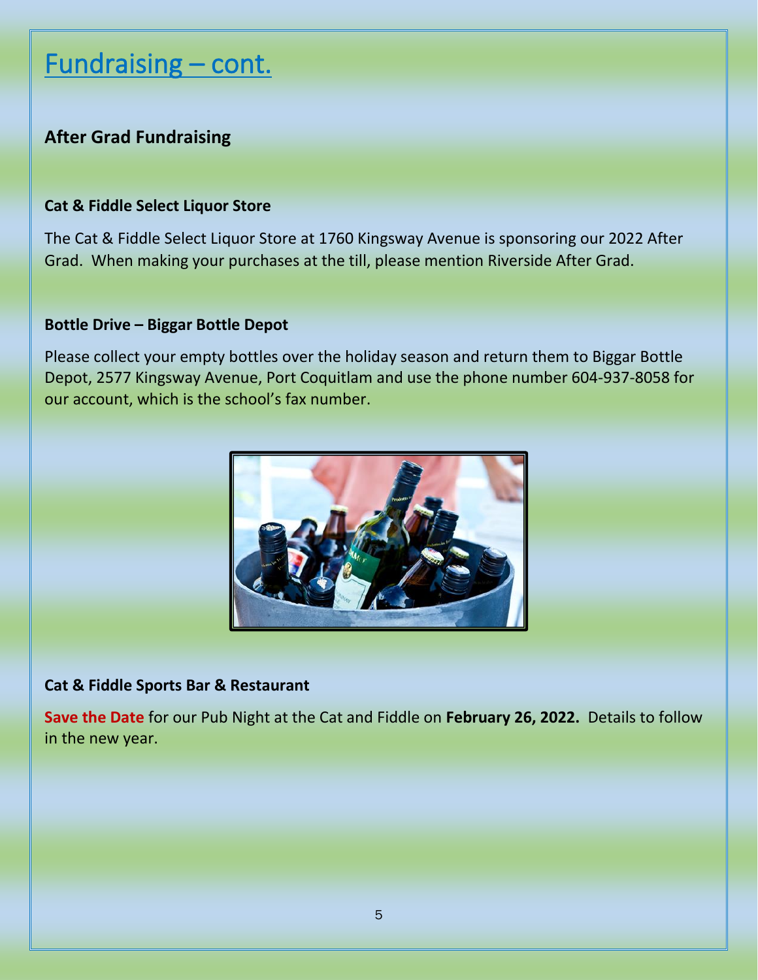## Fundraising - cont.

### **After Grad Fundraising**

### **Cat & Fiddle Select Liquor Store**

The Cat & Fiddle Select Liquor Store at 1760 Kingsway Avenue is sponsoring our 2022 After Grad. When making your purchases at the till, please mention Riverside After Grad.

#### **Bottle Drive – Biggar Bottle Depot**

Please collect your empty bottles over the holiday season and return them to Biggar Bottle Depot, 2577 Kingsway Avenue, Port Coquitlam and use the phone number 604-937-8058 for our account, which is the school's fax number.



#### **Cat & Fiddle Sports Bar & Restaurant**

**Save the Date** for our Pub Night at the Cat and Fiddle on **February 26, 2022.** Details to follow in the new year.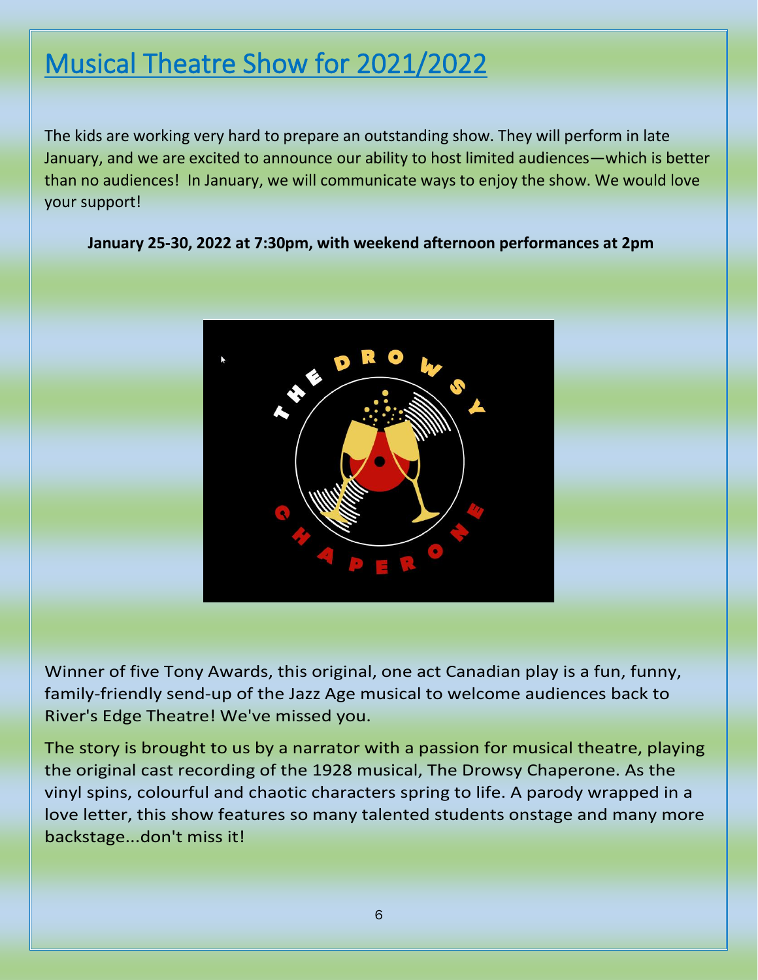## Musical Theatre Show for 2021/2022

The kids are working very hard to prepare an outstanding show. They will perform in late January, and we are excited to announce our ability to host limited audiences—which is better than no audiences! In January, we will communicate ways to enjoy the show. We would love your support!

**January 25-30, 2022 at 7:30pm, with weekend afternoon performances at 2pm**



Winner of five Tony Awards, this original, one act Canadian play is a fun, funny, family-friendly send-up of the Jazz Age musical to welcome audiences back to River's Edge Theatre! We've missed you.

The story is brought to us by a narrator with a passion for musical theatre, playing the original cast recording of the 1928 musical, The Drowsy Chaperone. As the vinyl spins, colourful and chaotic characters spring to life. A parody wrapped in a love letter, this show features so many talented students onstage and many more backstage...don't miss it!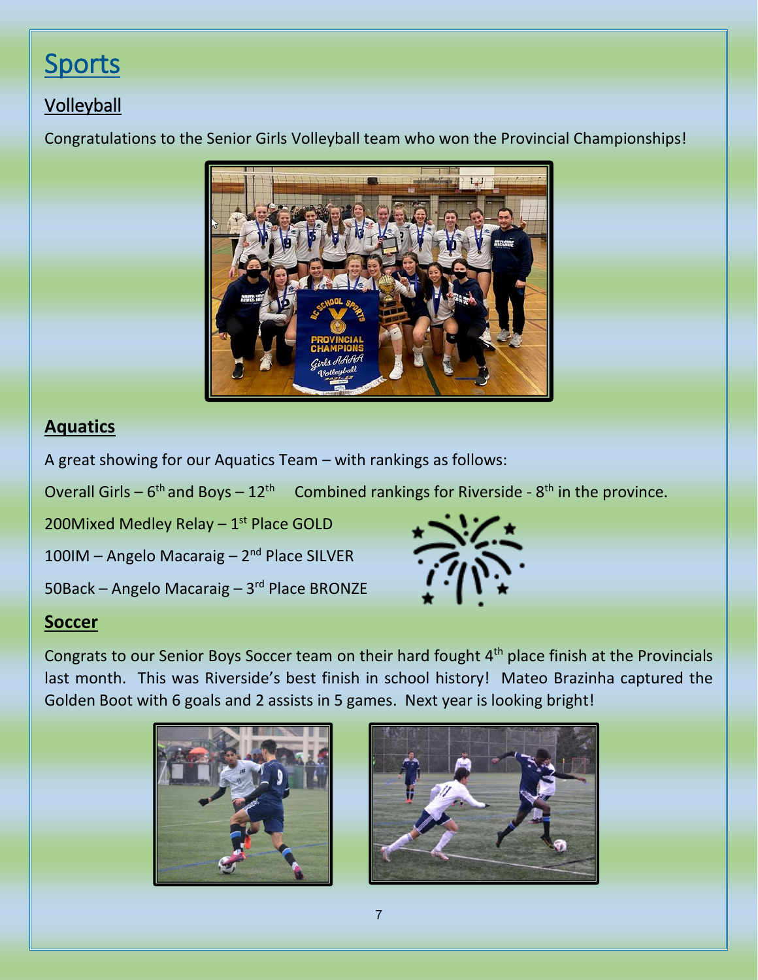## **Sports**

### **Volleyball**

Congratulations to the Senior Girls Volleyball team who won the Provincial Championships!



### **Aquatics**

A great showing for our Aquatics Team – with rankings as follows:

Overall Girls –  $6<sup>th</sup>$  and Boys –  $12<sup>th</sup>$  Combined rankings for Riverside -  $8<sup>th</sup>$  in the province.

200Mixed Medley Relay - 1<sup>st</sup> Place GOLD

100IM – Angelo Macaraig – 2<sup>nd</sup> Place SILVER

50Back – Angelo Macaraig – 3<sup>rd</sup> Place BRONZE



### **Soccer**

Congrats to our Senior Boys Soccer team on their hard fought 4<sup>th</sup> place finish at the Provincials last month. This was Riverside's best finish in school history! Mateo Brazinha captured the Golden Boot with 6 goals and 2 assists in 5 games. Next year is looking bright!



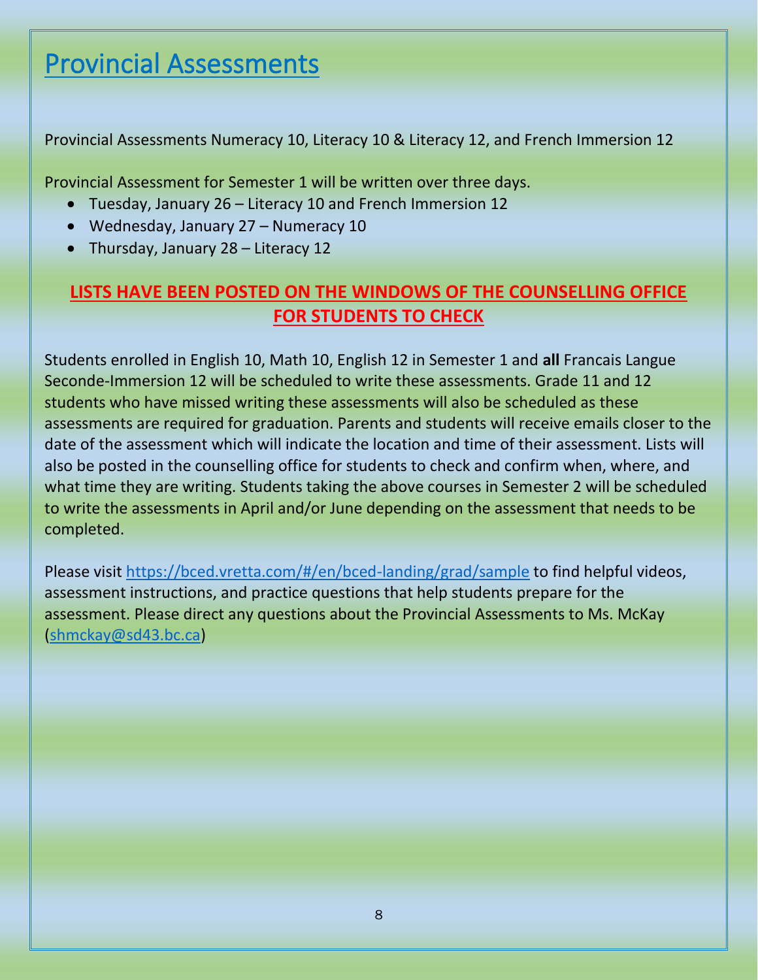## Provincial Assessments

Provincial Assessments Numeracy 10, Literacy 10 & Literacy 12, and French Immersion 12

Provincial Assessment for Semester 1 will be written over three days.

- Tuesday, January 26 Literacy 10 and French Immersion 12
- Wednesday, January 27 Numeracy 10
- Thursday, January 28 Literacy 12

### **LISTS HAVE BEEN POSTED ON THE WINDOWS OF THE COUNSELLING OFFICE FOR STUDENTS TO CHECK**

Students enrolled in English 10, Math 10, English 12 in Semester 1 and **all** Francais Langue Seconde-Immersion 12 will be scheduled to write these assessments. Grade 11 and 12 students who have missed writing these assessments will also be scheduled as these assessments are required for graduation. Parents and students will receive emails closer to the date of the assessment which will indicate the location and time of their assessment. Lists will also be posted in the counselling office for students to check and confirm when, where, and what time they are writing. Students taking the above courses in Semester 2 will be scheduled to write the assessments in April and/or June depending on the assessment that needs to be completed.

Please visit<https://bced.vretta.com/#/en/bced-landing/grad/sample> to find helpful videos, assessment instructions, and practice questions that help students prepare for the assessment. Please direct any questions about the Provincial Assessments to Ms. McKay [\(shmckay@sd43.bc.ca\)](mailto:shmckay@sd43.bc.ca)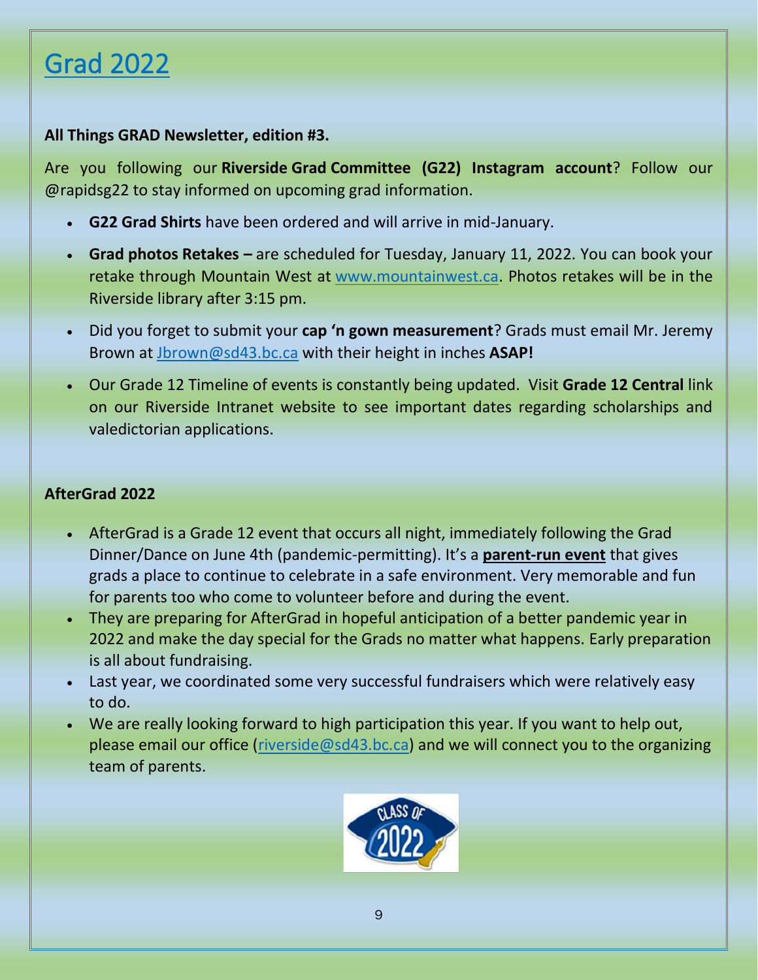## Grad 2022

### **All Things GRAD Newsletter, edition #3.**

Are you following our **Riverside Grad Committee (G22) Instagram account**? Follow our @rapidsg22 to stay informed on upcoming grad information.

- **G22 Grad Shirts** have been ordered and will arrive in mid-January.
- **Grad photos Retakes –** are scheduled for Tuesday, January 11, 2022. You can book your retake through Mountain West at [www.mountainwest.ca.](http://www.mountainwest.ca/) Photos retakes will be in the Riverside library after 3:15 pm.
- Did you forget to submit your **cap 'n gown measurement**? Grads must email Mr. Jeremy Brown at [Jbrown@sd43.bc.ca](mailto:Jbrown@sd43.bc.ca) with their height in inches **ASAP!**
- Our Grade 12 Timeline of events is constantly being updated. Visit **Grade 12 Central** link on our Riverside Intranet website to see important dates regarding scholarships and valedictorian applications.

### **AfterGrad 2022**

- AfterGrad is a Grade 12 event that occurs all night, immediately following the Grad Dinner/Dance on June 4th (pandemic-permitting). It's a **parent-run event** that gives grads a place to continue to celebrate in a safe environment. Very memorable and fun for parents too who come to volunteer before and during the event.
- They are preparing for AfterGrad in hopeful anticipation of a better pandemic year in 2022 and make the day special for the Grads no matter what happens. Early preparation is all about fundraising.
- Last year, we coordinated some very successful fundraisers which were relatively easy to do.
- We are really looking forward to high participation this year. If you want to help out, please email our office [\(riverside@sd43.bc.ca\)](mailto:riverside@sd43.bc.ca) and we will connect you to the organizing team of parents.